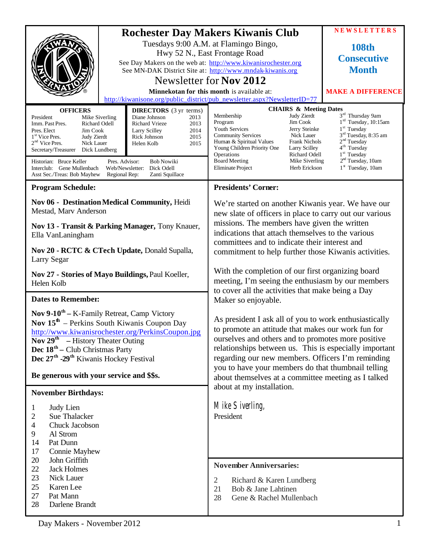|                                                                                                                                                                                                                                                                                                                                                                                                                                                                                                                                                                                                               |                                                                                                                                                                                                                                                                                                                                                                                                        |                                                                                                                                                                                                                                                                                                                                         |                                                                                                                                                                                          | <b>NEWSLETTERS</b>                                                                                                                                                                                                                                                                 |
|---------------------------------------------------------------------------------------------------------------------------------------------------------------------------------------------------------------------------------------------------------------------------------------------------------------------------------------------------------------------------------------------------------------------------------------------------------------------------------------------------------------------------------------------------------------------------------------------------------------|--------------------------------------------------------------------------------------------------------------------------------------------------------------------------------------------------------------------------------------------------------------------------------------------------------------------------------------------------------------------------------------------------------|-----------------------------------------------------------------------------------------------------------------------------------------------------------------------------------------------------------------------------------------------------------------------------------------------------------------------------------------|------------------------------------------------------------------------------------------------------------------------------------------------------------------------------------------|------------------------------------------------------------------------------------------------------------------------------------------------------------------------------------------------------------------------------------------------------------------------------------|
|                                                                                                                                                                                                                                                                                                                                                                                                                                                                                                                                                                                                               | <b>Rochester Day Makers Kiwanis Club</b><br>Tuesdays 9:00 A.M. at Flamingo Bingo,<br>Hwy 52 N., East Frontage Road<br>See Day Makers on the web at: http://www.kiwanisrochester.org<br>See MN-DAK District Site at: http://www.mndak-kiwanis.org<br>Newsletter for Nov 2012<br>Minnekotan for this month is available at:<br>http://kiwanisone.org/public_district/pub_newsletter.aspx?NewsletterID=77 |                                                                                                                                                                                                                                                                                                                                         |                                                                                                                                                                                          | <b>108th</b><br><b>Consecutive</b><br><b>Month</b><br><b>MAKE A DIFFERENCE</b>                                                                                                                                                                                                     |
| <b>OFFICERS</b><br><b>DIRECTORS</b> (3 yr terms)<br>Diane Johnson<br>President<br>Mike Siverling<br>2013<br>Richard Odell<br>2013<br>Imm. Past Pres.<br>Richard Vrieze<br>Pres. Elect<br>Jim Cook<br>Larry Scilley<br>2014<br>2015<br>1 <sup>st</sup> Vice Pres.<br>Judy Zierdt<br>Rick Johnson<br>2 <sup>nd</sup> Vice Pres.<br>Nick Lauer<br>Helen Kolb<br>2015<br>Secretary/Treasurer<br>Dick Lundberg<br>Historian: Bruce Keller<br>Pres. Advisor:<br><b>Bob Nowiki</b><br>Dick Odell<br>Interclub: Gene Mullenbach<br>Web/Newsletter:<br>Asst Sec./Treas: Bob Mayhew<br>Regional Rep:<br>Zanti Squillace |                                                                                                                                                                                                                                                                                                                                                                                                        | Membership<br>Program<br>Youth Services<br><b>Community Services</b><br>Human & Spiritual Values<br>Young Children Priority One<br>Operations<br><b>Board Meeting</b><br><b>Eliminate Project</b>                                                                                                                                       | <b>CHAIRS &amp; Meeting Dates</b><br>Judy Zierdt<br>Jim Cook<br>Jerry Steinke<br>Nick Lauer<br><b>Frank Nichols</b><br>Larry Scilley<br>Richard Odell<br>Mike Siverling<br>Herb Erickson | 3 <sup>rd</sup> Thursday 9am<br>1 <sup>rd</sup> Tuesday, 10:15am<br>1 <sup>st</sup> Tuesday<br>3 <sup>rd</sup> Tuesday, 8:35 am<br>2 <sup>nd</sup> Tuesday<br>4 <sup>th</sup> Tuesday<br>1 <sup>st</sup> Tuesday<br>2 <sup>nd</sup> Tuesday, 10am<br>1 <sup>st</sup> Tuesday, 10am |
| <b>Program Schedule:</b>                                                                                                                                                                                                                                                                                                                                                                                                                                                                                                                                                                                      | <b>Presidents' Corner:</b>                                                                                                                                                                                                                                                                                                                                                                             |                                                                                                                                                                                                                                                                                                                                         |                                                                                                                                                                                          |                                                                                                                                                                                                                                                                                    |
| Nov 06 - Destination Medical Community, Heidi<br>Mestad, Marv Anderson<br>Nov 13 - Transit & Parking Manager, Tony Knauer,<br>Ella VanLaningham<br>Nov 20 - RCTC & CTech Update, Donald Supalla,<br>Larry Segar                                                                                                                                                                                                                                                                                                                                                                                               |                                                                                                                                                                                                                                                                                                                                                                                                        | We're started on another Kiwanis year. We have our<br>new slate of officers in place to carry out our various<br>missions. The members have given the written<br>indications that attach themselves to the various<br>committees and to indicate their interest and<br>commitment to help further those Kiwanis activities.             |                                                                                                                                                                                          |                                                                                                                                                                                                                                                                                    |
| Nov 27 - Stories of Mayo Buildings, Paul Koeller,<br>Helen Kolb                                                                                                                                                                                                                                                                                                                                                                                                                                                                                                                                               |                                                                                                                                                                                                                                                                                                                                                                                                        | With the completion of our first organizing board<br>meeting, I'm seeing the enthusiasm by our members<br>to cover all the activities that make being a Day<br>Maker so enjoyable.                                                                                                                                                      |                                                                                                                                                                                          |                                                                                                                                                                                                                                                                                    |
| <b>Dates to Remember:</b>                                                                                                                                                                                                                                                                                                                                                                                                                                                                                                                                                                                     |                                                                                                                                                                                                                                                                                                                                                                                                        |                                                                                                                                                                                                                                                                                                                                         |                                                                                                                                                                                          |                                                                                                                                                                                                                                                                                    |
| <b>Nov 9-10<sup>th</sup></b> – K-Family Retreat, Camp Victory<br>Nov $15^{\text{th}}$ – Perkins South Kiwanis Coupon Day<br>http://www.kiwanisrochester.org/PerkinsCoupon.jpg<br>Nov $29^{\text{th}}$ – History Theater Outing<br><b>Dec</b> $18th$ – Club Christmas Party<br>Dec 27 <sup>th</sup> -29 <sup>th</sup> Kiwanis Hockey Festival                                                                                                                                                                                                                                                                  |                                                                                                                                                                                                                                                                                                                                                                                                        | As president I ask all of you to work enthusiastically<br>to promote an attitude that makes our work fun for<br>ourselves and others and to promotes more positive<br>relationships between us. This is especially important<br>regarding our new members. Officers I'm reminding<br>you to have your members do that thumbnail telling |                                                                                                                                                                                          |                                                                                                                                                                                                                                                                                    |
| Be generous with your service and \$\$s.                                                                                                                                                                                                                                                                                                                                                                                                                                                                                                                                                                      |                                                                                                                                                                                                                                                                                                                                                                                                        | about themselves at a committee meeting as I talked<br>about at my installation.                                                                                                                                                                                                                                                        |                                                                                                                                                                                          |                                                                                                                                                                                                                                                                                    |
| <b>November Birthdays:</b><br>Judy Lien<br>1<br>Sue Thalacker<br>2<br>Chuck Jacobson<br>4<br>9<br>Al Strom<br>Pat Dunn<br>14<br>17<br>Connie Mayhew                                                                                                                                                                                                                                                                                                                                                                                                                                                           |                                                                                                                                                                                                                                                                                                                                                                                                        | Mike Siverling,<br>President                                                                                                                                                                                                                                                                                                            |                                                                                                                                                                                          |                                                                                                                                                                                                                                                                                    |
| 20<br>John Griffith<br>22<br><b>Jack Holmes</b><br>23<br>Nick Lauer<br>25<br>Karen Lee<br>27<br>Pat Mann<br>28<br>Darlene Brandt                                                                                                                                                                                                                                                                                                                                                                                                                                                                              |                                                                                                                                                                                                                                                                                                                                                                                                        | <b>November Anniversaries:</b><br>$\overline{2}$<br>Richard & Karen Lundberg<br>21<br>Bob & Jane Lahtinen<br>28<br>Gene & Rachel Mullenbach                                                                                                                                                                                             |                                                                                                                                                                                          |                                                                                                                                                                                                                                                                                    |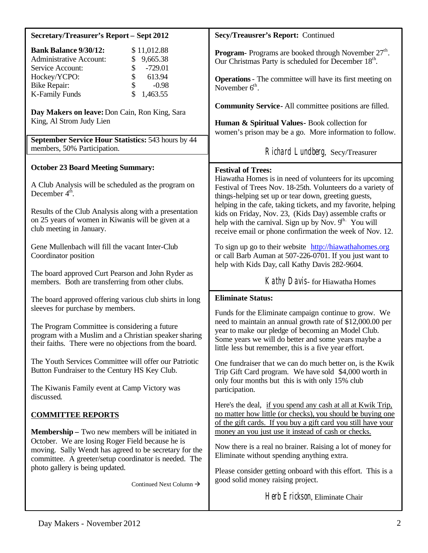| <b>Secretary/Treasurer's Report - Sept 2012</b>                                                                                                                  | Secy/Treausrer's Report: Continued                                                                                                                                                                                                                                                                                                                                                                                                         |  |  |
|------------------------------------------------------------------------------------------------------------------------------------------------------------------|--------------------------------------------------------------------------------------------------------------------------------------------------------------------------------------------------------------------------------------------------------------------------------------------------------------------------------------------------------------------------------------------------------------------------------------------|--|--|
| <b>Bank Balance 9/30/12:</b><br>\$11,012.88<br><b>Administrative Account:</b><br>9,665.38<br>\$<br>Service Account:<br>$-729.01$                                 | <b>Program-</b> Programs are booked through November $27th$ .<br>Our Christmas Party is scheduled for December 18 <sup>th</sup> .                                                                                                                                                                                                                                                                                                          |  |  |
| \$<br>613.94<br>Hockey/YCPO:<br>$-0.98$<br><b>Bike Repair:</b><br>\$<br>1,463.55<br><b>K-Family Funds</b>                                                        | <b>Operations</b> - The committee will have its first meeting on<br>November $6th$ .<br><b>Community Service-All committee positions are filled.</b><br>Human & Spiritual Values- Book collection for<br>women's prison may be a go. More information to follow.                                                                                                                                                                           |  |  |
| Day Makers on leave: Don Cain, Ron King, Sara<br>King, Al Strom Judy Lien                                                                                        |                                                                                                                                                                                                                                                                                                                                                                                                                                            |  |  |
| September Service Hour Statistics: 543 hours by 44<br>members, 50% Participation.                                                                                | Richard Lundberg, Secy/Treasurer                                                                                                                                                                                                                                                                                                                                                                                                           |  |  |
| <b>October 23 Board Meeting Summary:</b>                                                                                                                         | <b>Festival of Trees:</b>                                                                                                                                                                                                                                                                                                                                                                                                                  |  |  |
| A Club Analysis will be scheduled as the program on<br>December $4th$ .                                                                                          | Hiawatha Homes is in need of volunteers for its upcoming<br>Festival of Trees Nov. 18-25th. Volunteers do a variety of<br>things-helping set up or tear down, greeting guests,<br>helping in the cafe, taking tickets, and my favorite, helping<br>kids on Friday, Nov. 23, (Kids Day) assemble crafts or<br>help with the carnival. Sign up by Nov. 9 <sup>th.</sup> You will<br>receive email or phone confirmation the week of Nov. 12. |  |  |
| Results of the Club Analysis along with a presentation<br>on 25 years of women in Kiwanis will be given at a<br>club meeting in January.                         |                                                                                                                                                                                                                                                                                                                                                                                                                                            |  |  |
| Gene Mullenbach will fill the vacant Inter-Club<br>Coordinator position                                                                                          | To sign up go to their website http://hiawathahomes.org<br>or call Barb Auman at 507-226-0701. If you just want to<br>help with Kids Day, call Kathy Davis 282-9604.                                                                                                                                                                                                                                                                       |  |  |
| The board approved Curt Pearson and John Ryder as<br>members. Both are transferring from other clubs.                                                            | Kathy Davis- for Hiawatha Homes                                                                                                                                                                                                                                                                                                                                                                                                            |  |  |
| The board approved offering various club shirts in long<br>sleeves for purchase by members.                                                                      | <b>Eliminate Status:</b><br>Funds for the Eliminate campaign continue to grow. We<br>need to maintain an annual growth rate of \$12,000.00 per<br>year to make our pledge of becoming an Model Club.<br>Some years we will do better and some years maybe a<br>little less but remember, this is a five year effort.                                                                                                                       |  |  |
| The Program Committee is considering a future<br>program with a Muslim and a Christian speaker sharing<br>their faiths. There were no objections from the board. |                                                                                                                                                                                                                                                                                                                                                                                                                                            |  |  |
| The Youth Services Committee will offer our Patriotic<br>Button Fundraiser to the Century HS Key Club.                                                           | One fundraiser that we can do much better on, is the Kwik<br>Trip Gift Card program. We have sold \$4,000 worth in<br>only four months but this is with only 15% club<br>participation.                                                                                                                                                                                                                                                    |  |  |
| The Kiwanis Family event at Camp Victory was<br>discussed.                                                                                                       |                                                                                                                                                                                                                                                                                                                                                                                                                                            |  |  |
| <b>COMMITTEE REPORTS</b>                                                                                                                                         | Here's the deal, if you spend any cash at all at Kwik Trip,<br>no matter how little (or checks), you should be buying one<br>of the gift cards. If you buy a gift card you still have your                                                                                                                                                                                                                                                 |  |  |
| <b>Membership</b> – Two new members will be initiated in<br>October. We are losing Roger Field because he is                                                     | money an you just use it instead of cash or checks.                                                                                                                                                                                                                                                                                                                                                                                        |  |  |
| moving. Sally Wendt has agreed to be secretary for the<br>committee. A greeter/setup coordinator is needed. The                                                  | Now there is a real no brainer. Raising a lot of money for<br>Eliminate without spending anything extra.                                                                                                                                                                                                                                                                                                                                   |  |  |
| photo gallery is being updated.<br>Continued Next Column $\rightarrow$                                                                                           | Please consider getting onboard with this effort. This is a<br>good solid money raising project.                                                                                                                                                                                                                                                                                                                                           |  |  |
|                                                                                                                                                                  | Herb Erickson, Eliminate Chair                                                                                                                                                                                                                                                                                                                                                                                                             |  |  |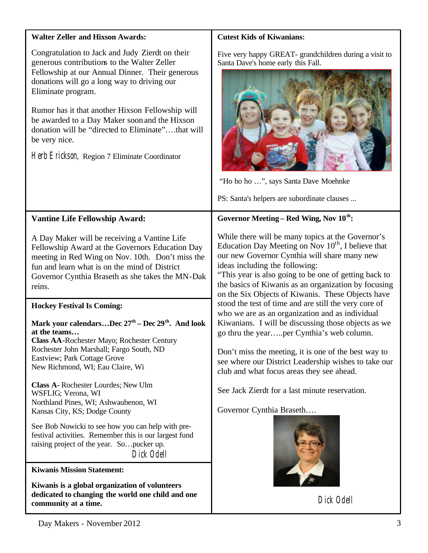| <b>Walter Zeller and Hixson Awards:</b>                                                                                                                                                                                                                                                                                                                                                                                                            | <b>Cutest Kids of Kiwanians:</b>                                                                                                                                                                                                                                                                                                                                                                                                                                                                                                                                                                                                                                                                                                                                                                                                |  |  |
|----------------------------------------------------------------------------------------------------------------------------------------------------------------------------------------------------------------------------------------------------------------------------------------------------------------------------------------------------------------------------------------------------------------------------------------------------|---------------------------------------------------------------------------------------------------------------------------------------------------------------------------------------------------------------------------------------------------------------------------------------------------------------------------------------------------------------------------------------------------------------------------------------------------------------------------------------------------------------------------------------------------------------------------------------------------------------------------------------------------------------------------------------------------------------------------------------------------------------------------------------------------------------------------------|--|--|
| Congratulation to Jack and Judy Zierdt on their<br>generous contributions to the Walter Zeller<br>Fellowship at our Annual Dinner. Their generous<br>donations will go a long way to driving our<br>Eliminate program.<br>Rumor has it that another Hixson Fellowship will<br>be awarded to a Day Maker soon and the Hixson<br>donation will be "directed to Eliminate"that will<br>be very nice.<br>Herb Erickson, Region 7 Eliminate Coordinator | Five very happy GREAT- grandchildren during a visit to<br>Santa Dave's home early this Fall.<br>"Ho ho ho ", says Santa Dave Moehnke<br>PS: Santa's helpers are subordinate clauses                                                                                                                                                                                                                                                                                                                                                                                                                                                                                                                                                                                                                                             |  |  |
| <b>Vantine Life Fellowship Award:</b>                                                                                                                                                                                                                                                                                                                                                                                                              | Governor Meeting – Red Wing, Nov 10 <sup>th</sup> :                                                                                                                                                                                                                                                                                                                                                                                                                                                                                                                                                                                                                                                                                                                                                                             |  |  |
| A Day Maker will be receiving a Vantine Life<br>Fellowship Award at the Governors Education Day<br>meeting in Red Wing on Nov. 10th. Don't miss the<br>fun and learn what is on the mind of District<br>Governor Cynthia Braseth as she takes the MN-Dak<br>reins.                                                                                                                                                                                 | While there will be many topics at the Governor's<br>Education Day Meeting on Nov $10^{th}$ , I believe that<br>our new Governor Cynthia will share many new<br>ideas including the following:<br>"This year is also going to be one of getting back to<br>the basics of Kiwanis as an organization by focusing<br>on the Six Objects of Kiwanis. These Objects have<br>stood the test of time and are still the very core of<br>who we are as an organization and as individual<br>Kiwanians. I will be discussing those objects as we<br>go thru the yearper Cynthia's web column.<br>Don't miss the meeting, it is one of the best way to<br>see where our District Leadership wishes to take our<br>club and what focus areas they see ahead.<br>See Jack Zierdt for a last minute reservation.<br>Governor Cynthia Braseth |  |  |
| <b>Hockey Festival Is Coming:</b><br>Mark your calendarsDec 27 <sup>th</sup> – Dec 29 <sup>th</sup> . And look<br>at the teams<br>Class AA-Rochester Mayo; Rochester Century<br>Rochester John Marshall; Fargo South, ND<br><b>Eastview</b> ; Park Cottage Grove<br>New Richmond, WI; Eau Claire, Wi                                                                                                                                               |                                                                                                                                                                                                                                                                                                                                                                                                                                                                                                                                                                                                                                                                                                                                                                                                                                 |  |  |
| Class A-Rochester Lourdes; New Ulm<br>WSFLIG; Verona, WI<br>Northland Pines, WI; Ashwaubenon, WI<br>Kansas City, KS; Dodge County                                                                                                                                                                                                                                                                                                                  |                                                                                                                                                                                                                                                                                                                                                                                                                                                                                                                                                                                                                                                                                                                                                                                                                                 |  |  |
| See Bob Nowicki to see how you can help with pre-<br>festival activities. Remember this is our largest fund<br>raising project of the year. So pucker up.<br>Dick Odell                                                                                                                                                                                                                                                                            |                                                                                                                                                                                                                                                                                                                                                                                                                                                                                                                                                                                                                                                                                                                                                                                                                                 |  |  |
| <b>Kiwanis Mission Statement:</b>                                                                                                                                                                                                                                                                                                                                                                                                                  |                                                                                                                                                                                                                                                                                                                                                                                                                                                                                                                                                                                                                                                                                                                                                                                                                                 |  |  |
| Kiwanis is a global organization of volunteers<br>dedicated to changing the world one child and one<br>community at a time.                                                                                                                                                                                                                                                                                                                        | Dick Odell                                                                                                                                                                                                                                                                                                                                                                                                                                                                                                                                                                                                                                                                                                                                                                                                                      |  |  |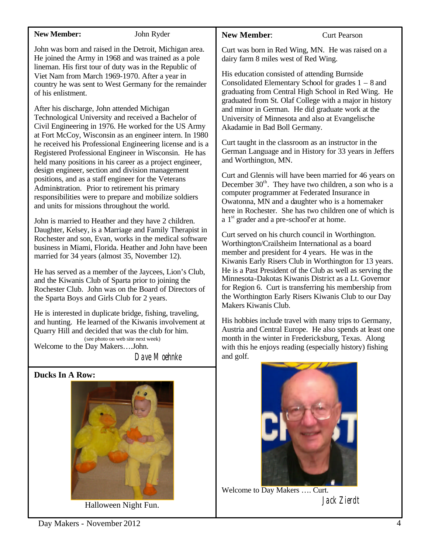## **New Member:** John Ryder

John was born and raised in the Detroit, Michigan area. He joined the Army in 1968 and was trained as a pole lineman. His first tour of duty was in the Republic of Viet Nam from March 1969-1970. After a year in country he was sent to West Germany for the remainder of his enlistment.

After his discharge, John attended Michigan Technological University and received a Bachelor of Civil Engineering in 1976. He worked for the US Army at Fort McCoy, Wisconsin as an engineer intern. In 1980 he received his Professional Engineering license and is a Registered Professional Engineer in Wisconsin. He has held many positions in his career as a project engineer, design engineer, section and division management positions, and as a staff engineer for the Veterans Administration. Prior to retirement his primary responsibilities were to prepare and mobilize soldiers and units for missions throughout the world.

John is married to Heather and they have 2 children. Daughter, Kelsey, is a Marriage and Family Therapist in Rochester and son, Evan, works in the medical software business in Miami, Florida. Heather and John have been married for 34 years (almost 35, November 12).

He has served as a member of the Jaycees, Lion's Club, and the Kiwanis Club of Sparta prior to joining the Rochester Club. John was on the Board of Directors of the Sparta Boys and Girls Club for 2 years.

He is interested in duplicate bridge, fishing, traveling, and hunting. He learned of the Kiwanis involvement at Quarry Hill and decided that was the club for him. (see photo on web site next week) Welcome to the Day Makers….John.

Dave Moehnke

# **Ducks In A Row:**



Halloween Night Fun.

# **New Member:** Curt Pearson

Curt was born in Red Wing, MN. He was raised on a dairy farm 8 miles west of Red Wing.

His education consisted of attending Burnside Consolidated Elementary School for grades 1 – 8 and graduating from Central High School in Red Wing. He graduated from St. Olaf College with a major in history and minor in German. He did graduate work at the University of Minnesota and also at Evangelische Akadamie in Bad Boll Germany.

Curt taught in the classroom as an instructor in the German Language and in History for 33 years in Jeffers and Worthington, MN.

Curt and Glennis will have been married for 46 years on December  $30<sup>th</sup>$ . They have two children, a son who is a computer programmer at Federated Insurance in Owatonna, MN and a daughter who is a homemaker here in Rochester. She has two children one of which is a  $1<sup>st</sup>$  grader and a pre-school' er at home.

Curt served on his church council in Worthington. Worthington/Crailsheim International as a board member and president for 4 years. He was in the Kiwanis Early Risers Club in Worthington for 13 years. He is a Past President of the Club as well as serving the Minnesota-Dakotas Kiwanis District as a Lt. Governor for Region 6. Curt is transferring his membership from the Worthington Early Risers Kiwanis Club to our Day Makers Kiwanis Club.

His hobbies include travel with many trips to Germany, Austria and Central Europe. He also spends at least one month in the winter in Fredericksburg, Texas. Along with this he enjoys reading (especially history) fishing and golf.



Welcome to Day Makers …. Curt. Jack Zierdt